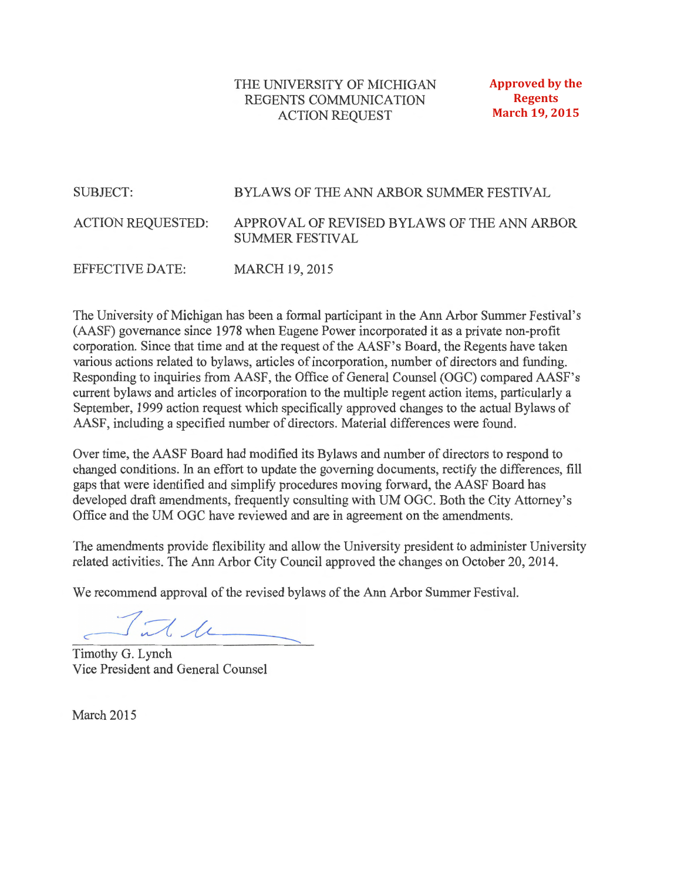### THE UNIVERSITY OF MICHIGAN REGENTS COMMUNICATION **ACTION REQUEST**

**Approved by the Regents March 19, 2015** 

#### **SUBJECT:** BYLAWS OF THE ANN ARBOR SUMMER FESTIVAL APPROVAL OF REVISED BYLAWS OF THE ANN ARBOR **ACTION REQUESTED: SUMMER FESTIVAL EFFECTIVE DATE: MARCH 19, 2015**

The University of Michigan has been a formal participant in the Ann Arbor Summer Festival's (AASF) governance since 1978 when Eugene Power incorporated it as a private non-profit corporation. Since that time and at the request of the AASF's Board, the Regents have taken various actions related to bylaws, articles of incorporation, number of directors and funding. Responding to inquiries from AASF, the Office of General Counsel (OGC) compared AASF's current bylaws and articles of incorporation to the multiple regent action items, particularly a September, 1999 action request which specifically approved changes to the actual Bylaws of AASF, including a specified number of directors. Material differences were found.

Over time, the AASF Board had modified its Bylaws and number of directors to respond to changed conditions. In an effort to update the governing documents, rectify the differences, fill gaps that were identified and simplify procedures moving forward, the AASF Board has developed draft amendments, frequently consulting with UM OGC. Both the City Attorney's Office and the UM OGC have reviewed and are in agreement on the amendments.

The amendments provide flexibility and allow the University president to administer University related activities. The Ann Arbor City Council approved the changes on October 20, 2014.

We recommend approval of the revised bylaws of the Ann Arbor Summer Festival.

 $\int \pi l \, \mu$ 

Timothy G. Lynch Vice President and General Counsel

March 2015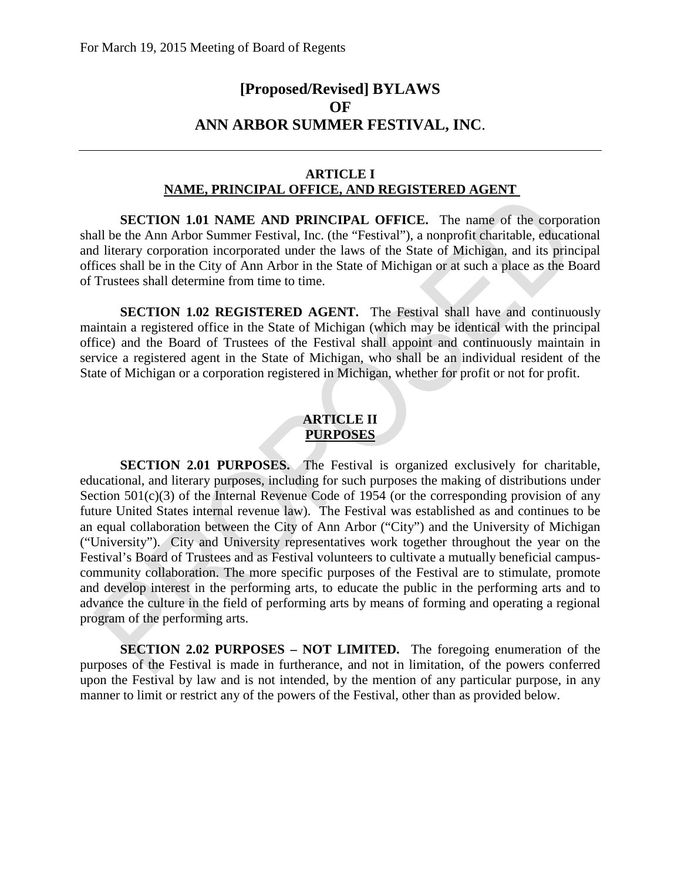# **[Proposed/Revised] BYLAWS OF ANN ARBOR SUMMER FESTIVAL, INC**.

### **ARTICLE I NAME, PRINCIPAL OFFICE, AND REGISTERED AGENT**

**SECTION 1.01 NAME AND PRINCIPAL OFFICE.** The name of the corporation shall be the Ann Arbor Summer Festival, Inc. (the "Festival"), a nonprofit charitable, educational and literary corporation incorporated under the laws of the State of Michigan, and its principal offices shall be in the City of Ann Arbor in the State of Michigan or at such a place as the Board of Trustees shall determine from time to time.

**SECTION 1.02 REGISTERED AGENT.** The Festival shall have and continuously maintain a registered office in the State of Michigan (which may be identical with the principal office) and the Board of Trustees of the Festival shall appoint and continuously maintain in service a registered agent in the State of Michigan, who shall be an individual resident of the State of Michigan or a corporation registered in Michigan, whether for profit or not for profit.

### **ARTICLE II PURPOSES**

**SECTION 2.01 PURPOSES.** The Festival is organized exclusively for charitable, educational, and literary purposes, including for such purposes the making of distributions under Section  $501(c)(3)$  of the Internal Revenue Code of 1954 (or the corresponding provision of any future United States internal revenue law). The Festival was established as and continues to be an equal collaboration between the City of Ann Arbor ("City") and the University of Michigan ("University"). City and University representatives work together throughout the year on the Festival's Board of Trustees and as Festival volunteers to cultivate a mutually beneficial campuscommunity collaboration. The more specific purposes of the Festival are to stimulate, promote and develop interest in the performing arts, to educate the public in the performing arts and to advance the culture in the field of performing arts by means of forming and operating a regional program of the performing arts.

**SECTION 2.02 PURPOSES – NOT LIMITED.** The foregoing enumeration of the purposes of the Festival is made in furtherance, and not in limitation, of the powers conferred upon the Festival by law and is not intended, by the mention of any particular purpose, in any manner to limit or restrict any of the powers of the Festival, other than as provided below.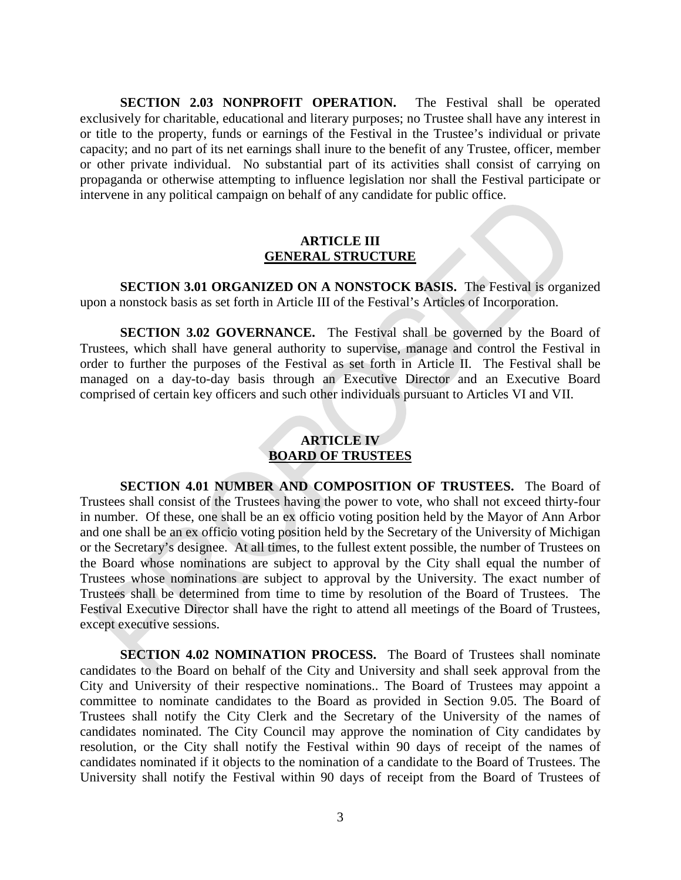**SECTION 2.03 NONPROFIT OPERATION.** The Festival shall be operated exclusively for charitable, educational and literary purposes; no Trustee shall have any interest in or title to the property, funds or earnings of the Festival in the Trustee's individual or private capacity; and no part of its net earnings shall inure to the benefit of any Trustee, officer, member or other private individual. No substantial part of its activities shall consist of carrying on propaganda or otherwise attempting to influence legislation nor shall the Festival participate or intervene in any political campaign on behalf of any candidate for public office.

#### **ARTICLE III GENERAL STRUCTURE**

**SECTION 3.01 ORGANIZED ON A NONSTOCK BASIS.** The Festival is organized upon a nonstock basis as set forth in Article III of the Festival's Articles of Incorporation.

**SECTION 3.02 GOVERNANCE.** The Festival shall be governed by the Board of Trustees, which shall have general authority to supervise, manage and control the Festival in order to further the purposes of the Festival as set forth in Article II. The Festival shall be managed on a day-to-day basis through an Executive Director and an Executive Board comprised of certain key officers and such other individuals pursuant to Articles VI and VII.

## **ARTICLE IV BOARD OF TRUSTEES**

**SECTION 4.01 NUMBER AND COMPOSITION OF TRUSTEES.** The Board of Trustees shall consist of the Trustees having the power to vote, who shall not exceed thirty-four in number. Of these, one shall be an ex officio voting position held by the Mayor of Ann Arbor and one shall be an ex officio voting position held by the Secretary of the University of Michigan or the Secretary's designee. At all times, to the fullest extent possible, the number of Trustees on the Board whose nominations are subject to approval by the City shall equal the number of Trustees whose nominations are subject to approval by the University. The exact number of Trustees shall be determined from time to time by resolution of the Board of Trustees. The Festival Executive Director shall have the right to attend all meetings of the Board of Trustees, except executive sessions.

**SECTION 4.02 NOMINATION PROCESS.** The Board of Trustees shall nominate candidates to the Board on behalf of the City and University and shall seek approval from the City and University of their respective nominations.. The Board of Trustees may appoint a committee to nominate candidates to the Board as provided in Section 9.05. The Board of Trustees shall notify the City Clerk and the Secretary of the University of the names of candidates nominated. The City Council may approve the nomination of City candidates by resolution, or the City shall notify the Festival within 90 days of receipt of the names of candidates nominated if it objects to the nomination of a candidate to the Board of Trustees. The University shall notify the Festival within 90 days of receipt from the Board of Trustees of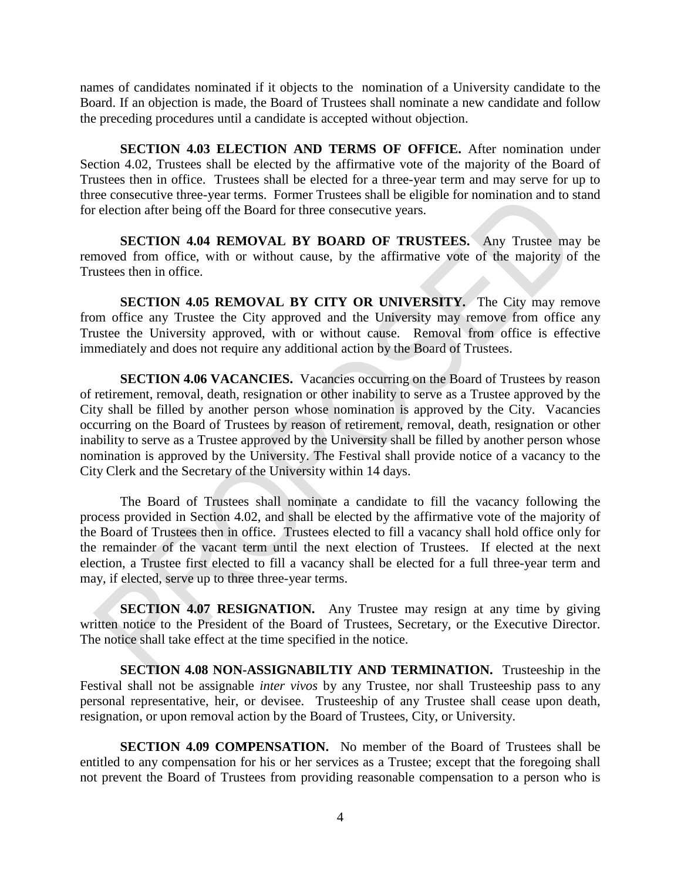names of candidates nominated if it objects to the nomination of a University candidate to the Board. If an objection is made, the Board of Trustees shall nominate a new candidate and follow the preceding procedures until a candidate is accepted without objection.

**SECTION 4.03 ELECTION AND TERMS OF OFFICE.** After nomination under Section 4.02, Trustees shall be elected by the affirmative vote of the majority of the Board of Trustees then in office. Trustees shall be elected for a three-year term and may serve for up to three consecutive three-year terms. Former Trustees shall be eligible for nomination and to stand for election after being off the Board for three consecutive years.

**SECTION 4.04 REMOVAL BY BOARD OF TRUSTEES.** Any Trustee may be removed from office, with or without cause, by the affirmative vote of the majority of the Trustees then in office.

**SECTION 4.05 REMOVAL BY CITY OR UNIVERSITY.** The City may remove from office any Trustee the City approved and the University may remove from office any Trustee the University approved, with or without cause. Removal from office is effective immediately and does not require any additional action by the Board of Trustees.

**SECTION 4.06 VACANCIES.** Vacancies occurring on the Board of Trustees by reason of retirement, removal, death, resignation or other inability to serve as a Trustee approved by the City shall be filled by another person whose nomination is approved by the City. Vacancies occurring on the Board of Trustees by reason of retirement, removal, death, resignation or other inability to serve as a Trustee approved by the University shall be filled by another person whose nomination is approved by the University. The Festival shall provide notice of a vacancy to the City Clerk and the Secretary of the University within 14 days.

The Board of Trustees shall nominate a candidate to fill the vacancy following the process provided in Section 4.02, and shall be elected by the affirmative vote of the majority of the Board of Trustees then in office. Trustees elected to fill a vacancy shall hold office only for the remainder of the vacant term until the next election of Trustees. If elected at the next election, a Trustee first elected to fill a vacancy shall be elected for a full three-year term and may, if elected, serve up to three three-year terms.

**SECTION 4.07 RESIGNATION.** Any Trustee may resign at any time by giving written notice to the President of the Board of Trustees, Secretary, or the Executive Director. The notice shall take effect at the time specified in the notice.

**SECTION 4.08 NON-ASSIGNABILTIY AND TERMINATION.** Trusteeship in the Festival shall not be assignable *inter vivos* by any Trustee, nor shall Trusteeship pass to any personal representative, heir, or devisee. Trusteeship of any Trustee shall cease upon death, resignation, or upon removal action by the Board of Trustees, City, or University.

**SECTION 4.09 COMPENSATION.** No member of the Board of Trustees shall be entitled to any compensation for his or her services as a Trustee; except that the foregoing shall not prevent the Board of Trustees from providing reasonable compensation to a person who is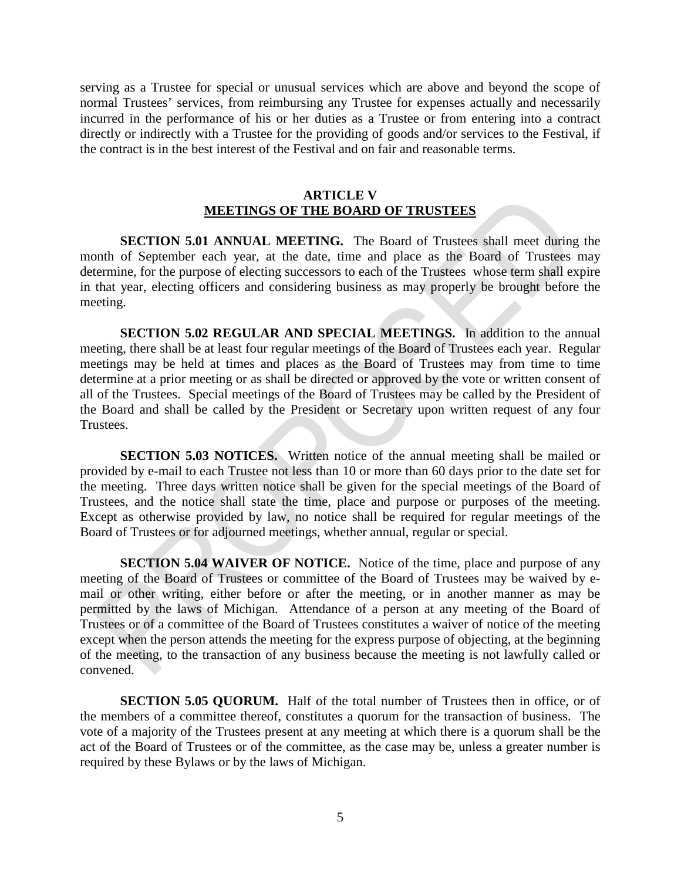serving as a Trustee for special or unusual services which are above and beyond the scope of normal Trustees' services, from reimbursing any Trustee for expenses actually and necessarily incurred in the performance of his or her duties as a Trustee or from entering into a contract directly or indirectly with a Trustee for the providing of goods and/or services to the Festival, if the contract is in the best interest of the Festival and on fair and reasonable terms.

#### **ARTICLE V MEETINGS OF THE BOARD OF TRUSTEES**

**SECTION 5.01 ANNUAL MEETING.** The Board of Trustees shall meet during the month of September each year, at the date, time and place as the Board of Trustees may determine, for the purpose of electing successors to each of the Trustees whose term shall expire in that year, electing officers and considering business as may properly be brought before the meeting.

**SECTION 5.02 REGULAR AND SPECIAL MEETINGS.** In addition to the annual meeting, there shall be at least four regular meetings of the Board of Trustees each year. Regular meetings may be held at times and places as the Board of Trustees may from time to time determine at a prior meeting or as shall be directed or approved by the vote or written consent of all of the Trustees. Special meetings of the Board of Trustees may be called by the President of the Board and shall be called by the President or Secretary upon written request of any four Trustees.

**SECTION 5.03 NOTICES.** Written notice of the annual meeting shall be mailed or provided by e-mail to each Trustee not less than 10 or more than 60 days prior to the date set for the meeting. Three days written notice shall be given for the special meetings of the Board of Trustees, and the notice shall state the time, place and purpose or purposes of the meeting. Except as otherwise provided by law, no notice shall be required for regular meetings of the Board of Trustees or for adjourned meetings, whether annual, regular or special.

**SECTION 5.04 WAIVER OF NOTICE.** Notice of the time, place and purpose of any meeting of the Board of Trustees or committee of the Board of Trustees may be waived by email or other writing, either before or after the meeting, or in another manner as may be permitted by the laws of Michigan. Attendance of a person at any meeting of the Board of Trustees or of a committee of the Board of Trustees constitutes a waiver of notice of the meeting except when the person attends the meeting for the express purpose of objecting, at the beginning of the meeting, to the transaction of any business because the meeting is not lawfully called or convened.

**SECTION 5.05 QUORUM.** Half of the total number of Trustees then in office, or of the members of a committee thereof, constitutes a quorum for the transaction of business. The vote of a majority of the Trustees present at any meeting at which there is a quorum shall be the act of the Board of Trustees or of the committee, as the case may be, unless a greater number is required by these Bylaws or by the laws of Michigan.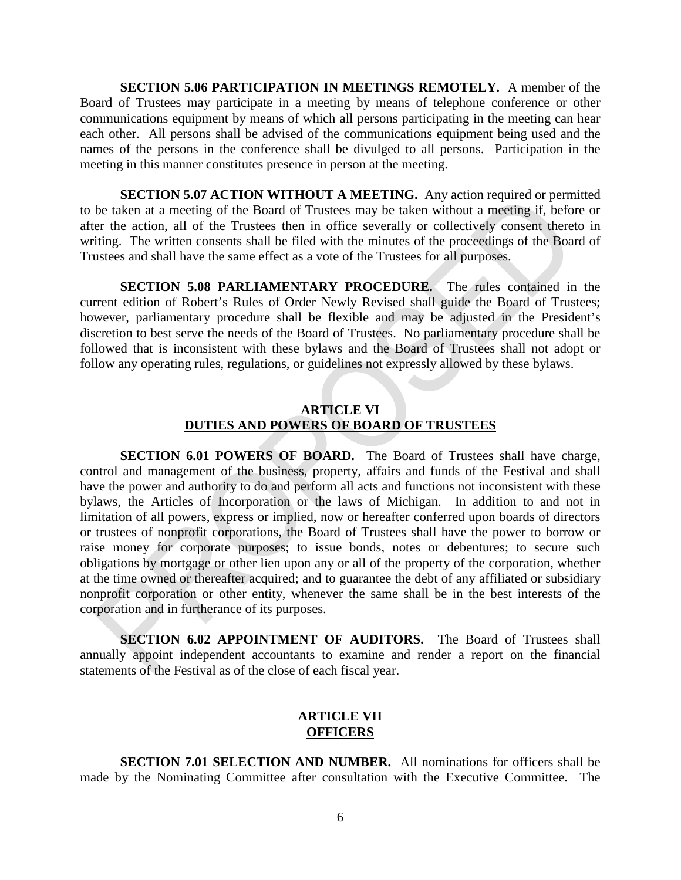**SECTION 5.06 PARTICIPATION IN MEETINGS REMOTELY.** A member of the Board of Trustees may participate in a meeting by means of telephone conference or other communications equipment by means of which all persons participating in the meeting can hear each other. All persons shall be advised of the communications equipment being used and the names of the persons in the conference shall be divulged to all persons. Participation in the meeting in this manner constitutes presence in person at the meeting.

**SECTION 5.07 ACTION WITHOUT A MEETING.** Any action required or permitted to be taken at a meeting of the Board of Trustees may be taken without a meeting if, before or after the action, all of the Trustees then in office severally or collectively consent thereto in writing. The written consents shall be filed with the minutes of the proceedings of the Board of Trustees and shall have the same effect as a vote of the Trustees for all purposes.

**SECTION 5.08 PARLIAMENTARY PROCEDURE.** The rules contained in the current edition of Robert's Rules of Order Newly Revised shall guide the Board of Trustees; however, parliamentary procedure shall be flexible and may be adjusted in the President's discretion to best serve the needs of the Board of Trustees. No parliamentary procedure shall be followed that is inconsistent with these bylaws and the Board of Trustees shall not adopt or follow any operating rules, regulations, or guidelines not expressly allowed by these bylaws.

### **ARTICLE VI DUTIES AND POWERS OF BOARD OF TRUSTEES**

**SECTION 6.01 POWERS OF BOARD.** The Board of Trustees shall have charge, control and management of the business, property, affairs and funds of the Festival and shall have the power and authority to do and perform all acts and functions not inconsistent with these bylaws, the Articles of Incorporation or the laws of Michigan. In addition to and not in limitation of all powers, express or implied, now or hereafter conferred upon boards of directors or trustees of nonprofit corporations, the Board of Trustees shall have the power to borrow or raise money for corporate purposes; to issue bonds, notes or debentures; to secure such obligations by mortgage or other lien upon any or all of the property of the corporation, whether at the time owned or thereafter acquired; and to guarantee the debt of any affiliated or subsidiary nonprofit corporation or other entity, whenever the same shall be in the best interests of the corporation and in furtherance of its purposes.

**SECTION 6.02 APPOINTMENT OF AUDITORS.** The Board of Trustees shall annually appoint independent accountants to examine and render a report on the financial statements of the Festival as of the close of each fiscal year.

### **ARTICLE VII OFFICERS**

**SECTION 7.01 SELECTION AND NUMBER.** All nominations for officers shall be made by the Nominating Committee after consultation with the Executive Committee. The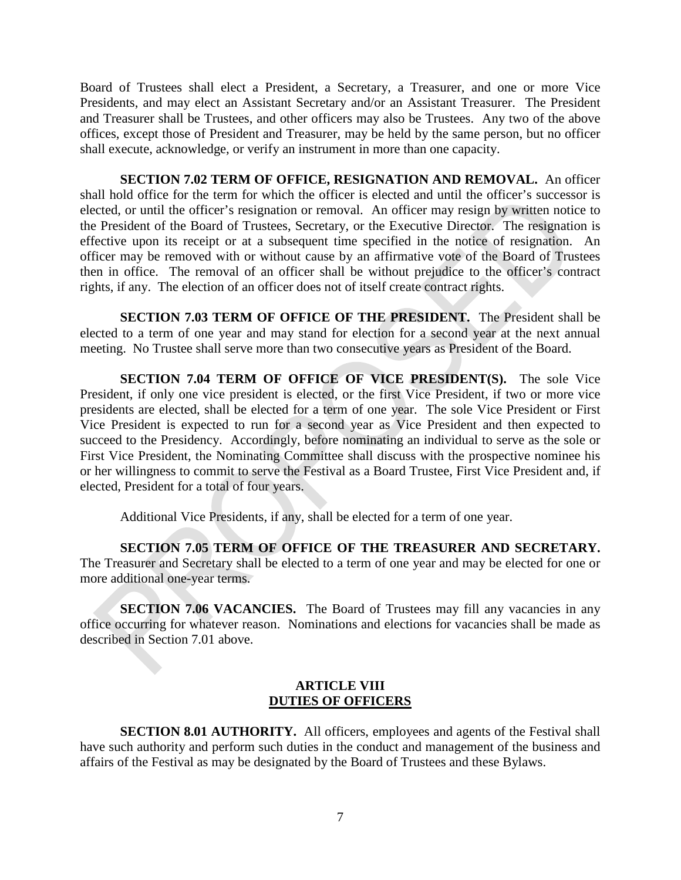Board of Trustees shall elect a President, a Secretary, a Treasurer, and one or more Vice Presidents, and may elect an Assistant Secretary and/or an Assistant Treasurer. The President and Treasurer shall be Trustees, and other officers may also be Trustees. Any two of the above offices, except those of President and Treasurer, may be held by the same person, but no officer shall execute, acknowledge, or verify an instrument in more than one capacity.

**SECTION 7.02 TERM OF OFFICE, RESIGNATION AND REMOVAL.** An officer shall hold office for the term for which the officer is elected and until the officer's successor is elected, or until the officer's resignation or removal. An officer may resign by written notice to the President of the Board of Trustees, Secretary, or the Executive Director. The resignation is effective upon its receipt or at a subsequent time specified in the notice of resignation. An officer may be removed with or without cause by an affirmative vote of the Board of Trustees then in office. The removal of an officer shall be without prejudice to the officer's contract rights, if any. The election of an officer does not of itself create contract rights.

**SECTION 7.03 TERM OF OFFICE OF THE PRESIDENT.** The President shall be elected to a term of one year and may stand for election for a second year at the next annual meeting. No Trustee shall serve more than two consecutive years as President of the Board.

**SECTION 7.04 TERM OF OFFICE OF VICE PRESIDENT(S).** The sole Vice President, if only one vice president is elected, or the first Vice President, if two or more vice presidents are elected, shall be elected for a term of one year. The sole Vice President or First Vice President is expected to run for a second year as Vice President and then expected to succeed to the Presidency. Accordingly, before nominating an individual to serve as the sole or First Vice President, the Nominating Committee shall discuss with the prospective nominee his or her willingness to commit to serve the Festival as a Board Trustee, First Vice President and, if elected, President for a total of four years.

Additional Vice Presidents, if any, shall be elected for a term of one year.

**SECTION 7.05 TERM OF OFFICE OF THE TREASURER AND SECRETARY.**  The Treasurer and Secretary shall be elected to a term of one year and may be elected for one or more additional one-year terms.

**SECTION 7.06 VACANCIES.** The Board of Trustees may fill any vacancies in any office occurring for whatever reason. Nominations and elections for vacancies shall be made as described in Section 7.01 above.

#### **ARTICLE VIII DUTIES OF OFFICERS**

**SECTION 8.01 AUTHORITY.** All officers, employees and agents of the Festival shall have such authority and perform such duties in the conduct and management of the business and affairs of the Festival as may be designated by the Board of Trustees and these Bylaws.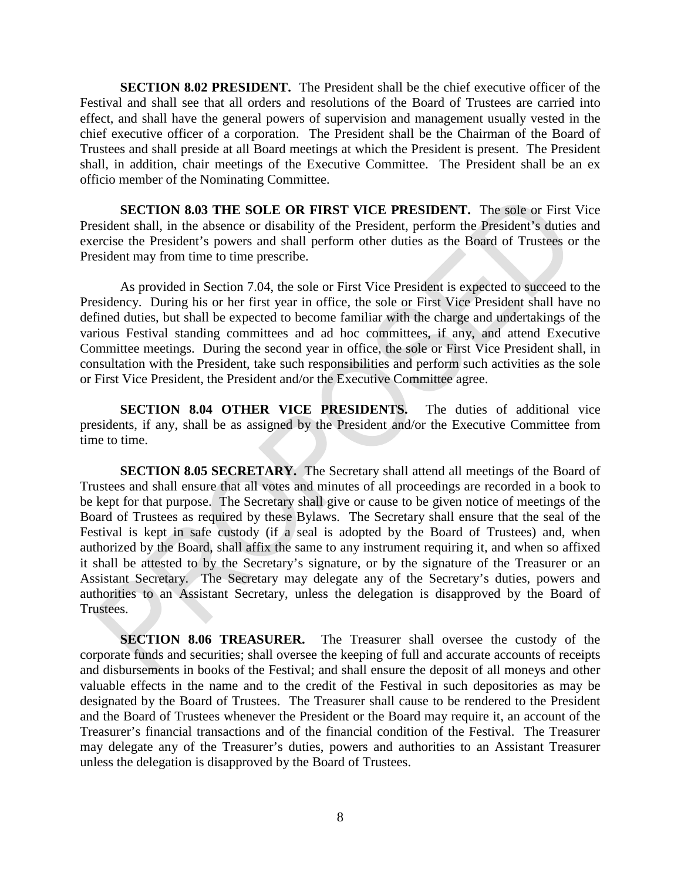**SECTION 8.02 PRESIDENT.** The President shall be the chief executive officer of the Festival and shall see that all orders and resolutions of the Board of Trustees are carried into effect, and shall have the general powers of supervision and management usually vested in the chief executive officer of a corporation. The President shall be the Chairman of the Board of Trustees and shall preside at all Board meetings at which the President is present. The President shall, in addition, chair meetings of the Executive Committee. The President shall be an ex officio member of the Nominating Committee.

**SECTION 8.03 THE SOLE OR FIRST VICE PRESIDENT.** The sole or First Vice President shall, in the absence or disability of the President, perform the President's duties and exercise the President's powers and shall perform other duties as the Board of Trustees or the President may from time to time prescribe.

As provided in Section 7.04, the sole or First Vice President is expected to succeed to the Presidency. During his or her first year in office, the sole or First Vice President shall have no defined duties, but shall be expected to become familiar with the charge and undertakings of the various Festival standing committees and ad hoc committees, if any, and attend Executive Committee meetings. During the second year in office, the sole or First Vice President shall, in consultation with the President, take such responsibilities and perform such activities as the sole or First Vice President, the President and/or the Executive Committee agree.

**SECTION 8.04 OTHER VICE PRESIDENTS.** The duties of additional vice presidents, if any, shall be as assigned by the President and/or the Executive Committee from time to time.

**SECTION 8.05 SECRETARY.** The Secretary shall attend all meetings of the Board of Trustees and shall ensure that all votes and minutes of all proceedings are recorded in a book to be kept for that purpose. The Secretary shall give or cause to be given notice of meetings of the Board of Trustees as required by these Bylaws. The Secretary shall ensure that the seal of the Festival is kept in safe custody (if a seal is adopted by the Board of Trustees) and, when authorized by the Board, shall affix the same to any instrument requiring it, and when so affixed it shall be attested to by the Secretary's signature, or by the signature of the Treasurer or an Assistant Secretary. The Secretary may delegate any of the Secretary's duties, powers and authorities to an Assistant Secretary, unless the delegation is disapproved by the Board of Trustees.

**SECTION 8.06 TREASURER.** The Treasurer shall oversee the custody of the corporate funds and securities; shall oversee the keeping of full and accurate accounts of receipts and disbursements in books of the Festival; and shall ensure the deposit of all moneys and other valuable effects in the name and to the credit of the Festival in such depositories as may be designated by the Board of Trustees. The Treasurer shall cause to be rendered to the President and the Board of Trustees whenever the President or the Board may require it, an account of the Treasurer's financial transactions and of the financial condition of the Festival. The Treasurer may delegate any of the Treasurer's duties, powers and authorities to an Assistant Treasurer unless the delegation is disapproved by the Board of Trustees.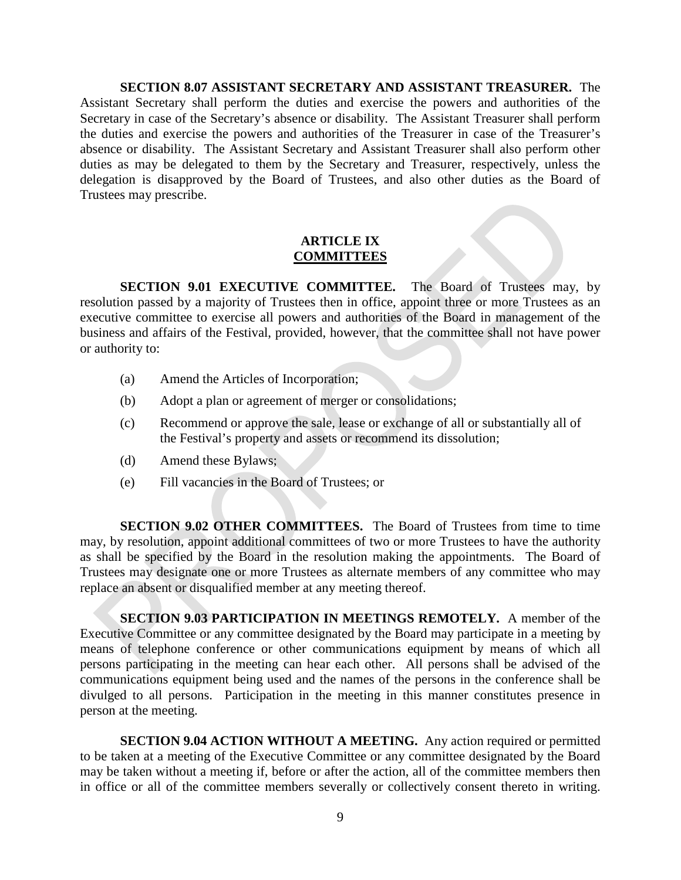**SECTION 8.07 ASSISTANT SECRETARY AND ASSISTANT TREASURER.** The Assistant Secretary shall perform the duties and exercise the powers and authorities of the Secretary in case of the Secretary's absence or disability. The Assistant Treasurer shall perform the duties and exercise the powers and authorities of the Treasurer in case of the Treasurer's absence or disability. The Assistant Secretary and Assistant Treasurer shall also perform other duties as may be delegated to them by the Secretary and Treasurer, respectively, unless the delegation is disapproved by the Board of Trustees, and also other duties as the Board of Trustees may prescribe.

#### **ARTICLE IX COMMITTEES**

**SECTION 9.01 EXECUTIVE COMMITTEE.** The Board of Trustees may, by resolution passed by a majority of Trustees then in office, appoint three or more Trustees as an executive committee to exercise all powers and authorities of the Board in management of the business and affairs of the Festival, provided, however, that the committee shall not have power or authority to:

- (a) Amend the Articles of Incorporation;
- (b) Adopt a plan or agreement of merger or consolidations;
- (c) Recommend or approve the sale, lease or exchange of all or substantially all of the Festival's property and assets or recommend its dissolution;
- (d) Amend these Bylaws;
- (e) Fill vacancies in the Board of Trustees; or

**SECTION 9.02 OTHER COMMITTEES.** The Board of Trustees from time to time may, by resolution, appoint additional committees of two or more Trustees to have the authority as shall be specified by the Board in the resolution making the appointments. The Board of Trustees may designate one or more Trustees as alternate members of any committee who may replace an absent or disqualified member at any meeting thereof.

**SECTION 9.03 PARTICIPATION IN MEETINGS REMOTELY.** A member of the Executive Committee or any committee designated by the Board may participate in a meeting by means of telephone conference or other communications equipment by means of which all persons participating in the meeting can hear each other. All persons shall be advised of the communications equipment being used and the names of the persons in the conference shall be divulged to all persons. Participation in the meeting in this manner constitutes presence in person at the meeting.

**SECTION 9.04 ACTION WITHOUT A MEETING.** Any action required or permitted to be taken at a meeting of the Executive Committee or any committee designated by the Board may be taken without a meeting if, before or after the action, all of the committee members then in office or all of the committee members severally or collectively consent thereto in writing.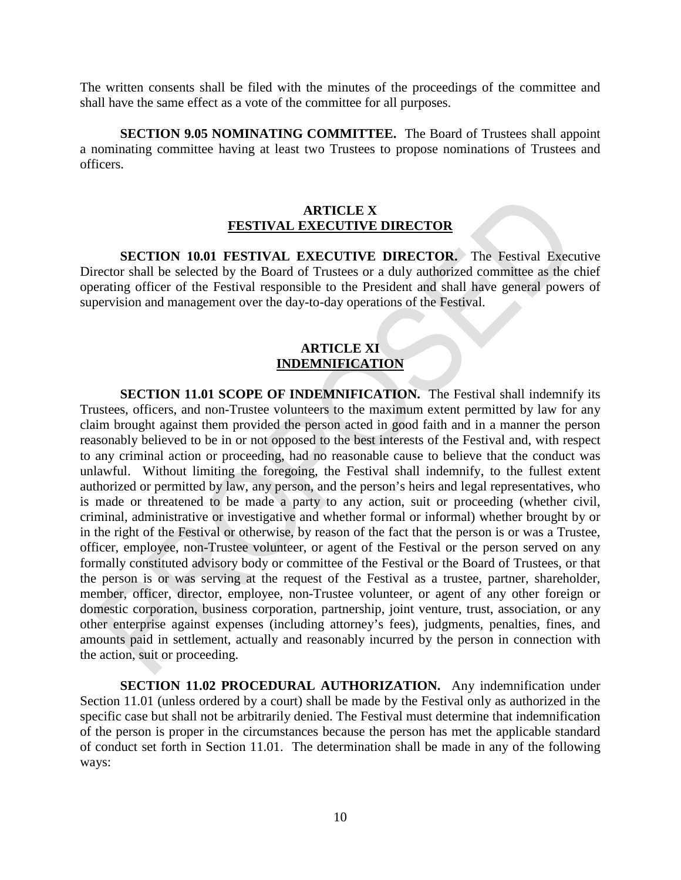The written consents shall be filed with the minutes of the proceedings of the committee and shall have the same effect as a vote of the committee for all purposes.

**SECTION 9.05 NOMINATING COMMITTEE.** The Board of Trustees shall appoint a nominating committee having at least two Trustees to propose nominations of Trustees and officers.

#### **ARTICLE X FESTIVAL EXECUTIVE DIRECTOR**

**SECTION 10.01 FESTIVAL EXECUTIVE DIRECTOR.** The Festival Executive Director shall be selected by the Board of Trustees or a duly authorized committee as the chief operating officer of the Festival responsible to the President and shall have general powers of supervision and management over the day-to-day operations of the Festival.

### **ARTICLE XI INDEMNIFICATION**

**SECTION 11.01 SCOPE OF INDEMNIFICATION.** The Festival shall indemnify its Trustees, officers, and non-Trustee volunteers to the maximum extent permitted by law for any claim brought against them provided the person acted in good faith and in a manner the person reasonably believed to be in or not opposed to the best interests of the Festival and, with respect to any criminal action or proceeding, had no reasonable cause to believe that the conduct was unlawful. Without limiting the foregoing, the Festival shall indemnify, to the fullest extent authorized or permitted by law, any person, and the person's heirs and legal representatives, who is made or threatened to be made a party to any action, suit or proceeding (whether civil, criminal, administrative or investigative and whether formal or informal) whether brought by or in the right of the Festival or otherwise, by reason of the fact that the person is or was a Trustee, officer, employee, non-Trustee volunteer, or agent of the Festival or the person served on any formally constituted advisory body or committee of the Festival or the Board of Trustees, or that the person is or was serving at the request of the Festival as a trustee, partner, shareholder, member, officer, director, employee, non-Trustee volunteer, or agent of any other foreign or domestic corporation, business corporation, partnership, joint venture, trust, association, or any other enterprise against expenses (including attorney's fees), judgments, penalties, fines, and amounts paid in settlement, actually and reasonably incurred by the person in connection with the action, suit or proceeding.

**SECTION 11.02 PROCEDURAL AUTHORIZATION.** Any indemnification under Section 11.01 (unless ordered by a court) shall be made by the Festival only as authorized in the specific case but shall not be arbitrarily denied. The Festival must determine that indemnification of the person is proper in the circumstances because the person has met the applicable standard of conduct set forth in Section 11.01. The determination shall be made in any of the following ways: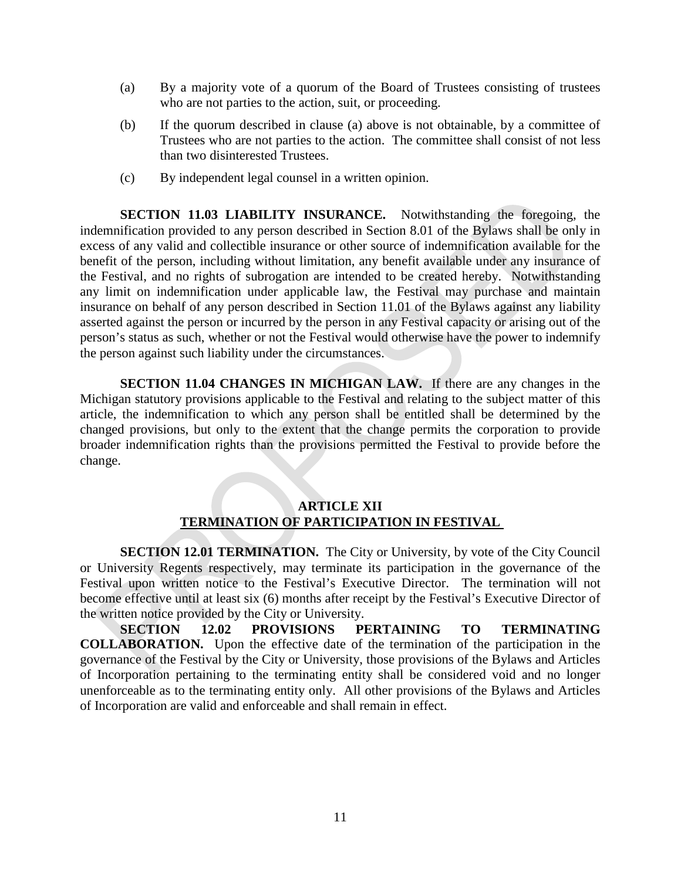- (a) By a majority vote of a quorum of the Board of Trustees consisting of trustees who are not parties to the action, suit, or proceeding.
- (b) If the quorum described in clause (a) above is not obtainable, by a committee of Trustees who are not parties to the action. The committee shall consist of not less than two disinterested Trustees.
- (c) By independent legal counsel in a written opinion.

**SECTION 11.03 LIABILITY INSURANCE.** Notwithstanding the foregoing, the indemnification provided to any person described in Section 8.01 of the Bylaws shall be only in excess of any valid and collectible insurance or other source of indemnification available for the benefit of the person, including without limitation, any benefit available under any insurance of the Festival, and no rights of subrogation are intended to be created hereby. Notwithstanding any limit on indemnification under applicable law, the Festival may purchase and maintain insurance on behalf of any person described in Section 11.01 of the Bylaws against any liability asserted against the person or incurred by the person in any Festival capacity or arising out of the person's status as such, whether or not the Festival would otherwise have the power to indemnify the person against such liability under the circumstances.

**SECTION 11.04 CHANGES IN MICHIGAN LAW.** If there are any changes in the Michigan statutory provisions applicable to the Festival and relating to the subject matter of this article, the indemnification to which any person shall be entitled shall be determined by the changed provisions, but only to the extent that the change permits the corporation to provide broader indemnification rights than the provisions permitted the Festival to provide before the change.

### **ARTICLE XII TERMINATION OF PARTICIPATION IN FESTIVAL**

**SECTION 12.01 TERMINATION.** The City or University, by vote of the City Council or University Regents respectively, may terminate its participation in the governance of the Festival upon written notice to the Festival's Executive Director. The termination will not become effective until at least six (6) months after receipt by the Festival's Executive Director of the written notice provided by the City or University.

**SECTION 12.02 PROVISIONS PERTAINING TO TERMINATING COLLABORATION.** Upon the effective date of the termination of the participation in the governance of the Festival by the City or University, those provisions of the Bylaws and Articles of Incorporation pertaining to the terminating entity shall be considered void and no longer unenforceable as to the terminating entity only. All other provisions of the Bylaws and Articles of Incorporation are valid and enforceable and shall remain in effect.